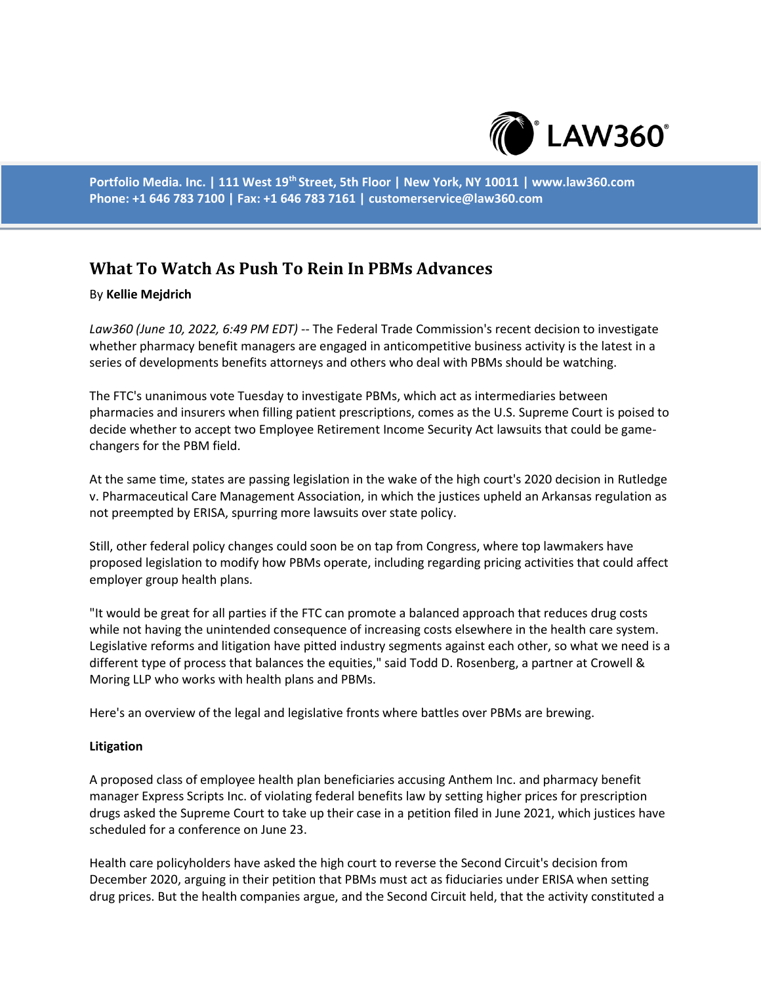

**Portfolio Media. Inc. | 111 West 19th Street, 5th Floor | New York, NY 10011 | www.law360.com Phone: +1 646 783 7100 | Fax: +1 646 783 7161 | customerservice@law360.com**

# **What To Watch As Push To Rein In PBMs Advances**

### By **Kellie Mejdrich**

*Law360 (June 10, 2022, 6:49 PM EDT)* -- The Federal Trade Commission's recent decision to investigate whether pharmacy benefit managers are engaged in anticompetitive business activity is the latest in a series of developments benefits attorneys and others who deal with PBMs should be watching.

The FTC's unanimous vote Tuesday to investigate PBMs, which act as intermediaries between pharmacies and insurers when filling patient prescriptions, comes as the U.S. Supreme Court is poised to decide whether to accept two Employee Retirement Income Security Act lawsuits that could be gamechangers for the PBM field.

At the same time, states are passing legislation in the wake of the high court's 2020 decision in Rutledge v. Pharmaceutical Care Management Association, in which the justices upheld an Arkansas regulation as not preempted by ERISA, spurring more lawsuits over state policy.

Still, other federal policy changes could soon be on tap from Congress, where top lawmakers have proposed legislation to modify how PBMs operate, including regarding pricing activities that could affect employer group health plans.

"It would be great for all parties if the FTC can promote a balanced approach that reduces drug costs while not having the unintended consequence of increasing costs elsewhere in the health care system. Legislative reforms and litigation have pitted industry segments against each other, so what we need is a different type of process that balances the equities," said Todd D. Rosenberg, a partner at Crowell & Moring LLP who works with health plans and PBMs.

Here's an overview of the legal and legislative fronts where battles over PBMs are brewing.

#### **Litigation**

A proposed class of employee health plan beneficiaries accusing Anthem Inc. and pharmacy benefit manager Express Scripts Inc. of violating federal benefits law by setting higher prices for prescription drugs asked the Supreme Court to take up their case in a petition filed in June 2021, which justices have scheduled for a conference on June 23.

Health care policyholders have asked the high court to reverse the Second Circuit's decision from December 2020, arguing in their petition that PBMs must act as fiduciaries under ERISA when setting drug prices. But the health companies argue, and the Second Circuit held, that the activity constituted a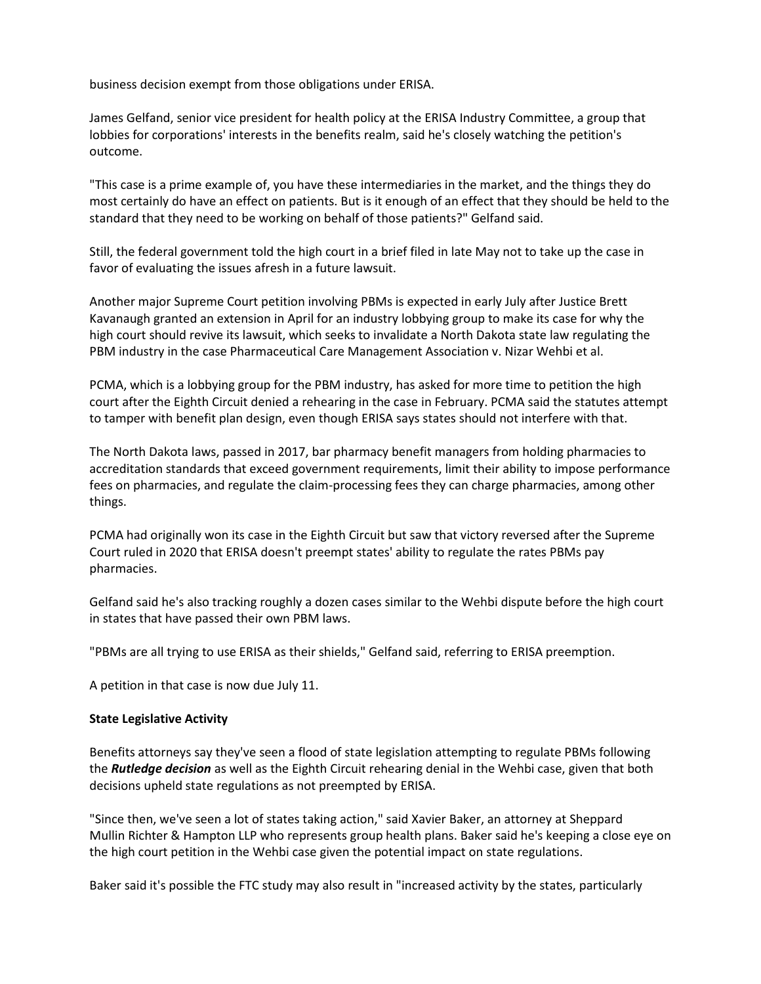business decision exempt from those obligations under ERISA.

James Gelfand, senior vice president for health policy at the ERISA Industry Committee, a group that lobbies for corporations' interests in the benefits realm, said he's closely watching the petition's outcome.

"This case is a prime example of, you have these intermediaries in the market, and the things they do most certainly do have an effect on patients. But is it enough of an effect that they should be held to the standard that they need to be working on behalf of those patients?" Gelfand said.

Still, the federal government told the high court in a brief filed in late May not to take up the case in favor of evaluating the issues afresh in a future lawsuit.

Another major Supreme Court petition involving PBMs is expected in early July after Justice Brett Kavanaugh granted an extension in April for an industry lobbying group to make its case for why the high court should revive its lawsuit, which seeks to invalidate a North Dakota state law regulating the PBM industry in the case Pharmaceutical Care Management Association v. Nizar Wehbi et al.

PCMA, which is a lobbying group for the PBM industry, has asked for more time to petition the high court after the Eighth Circuit denied a rehearing in the case in February. PCMA said the statutes attempt to tamper with benefit plan design, even though ERISA says states should not interfere with that.

The North Dakota laws, passed in 2017, bar pharmacy benefit managers from holding pharmacies to accreditation standards that exceed government requirements, limit their ability to impose performance fees on pharmacies, and regulate the claim-processing fees they can charge pharmacies, among other things.

PCMA had originally won its case in the Eighth Circuit but saw that victory reversed after the Supreme Court ruled in 2020 that ERISA doesn't preempt states' ability to regulate the rates PBMs pay pharmacies.

Gelfand said he's also tracking roughly a dozen cases similar to the Wehbi dispute before the high court in states that have passed their own PBM laws.

"PBMs are all trying to use ERISA as their shields," Gelfand said, referring to ERISA preemption.

A petition in that case is now due July 11.

#### **State Legislative Activity**

Benefits attorneys say they've seen a flood of state legislation attempting to regulate PBMs following the *Rutledge decision* as well as the Eighth Circuit rehearing denial in the Wehbi case, given that both decisions upheld state regulations as not preempted by ERISA.

"Since then, we've seen a lot of states taking action," said Xavier Baker, an attorney at Sheppard Mullin Richter & Hampton LLP who represents group health plans. Baker said he's keeping a close eye on the high court petition in the Wehbi case given the potential impact on state regulations.

Baker said it's possible the FTC study may also result in "increased activity by the states, particularly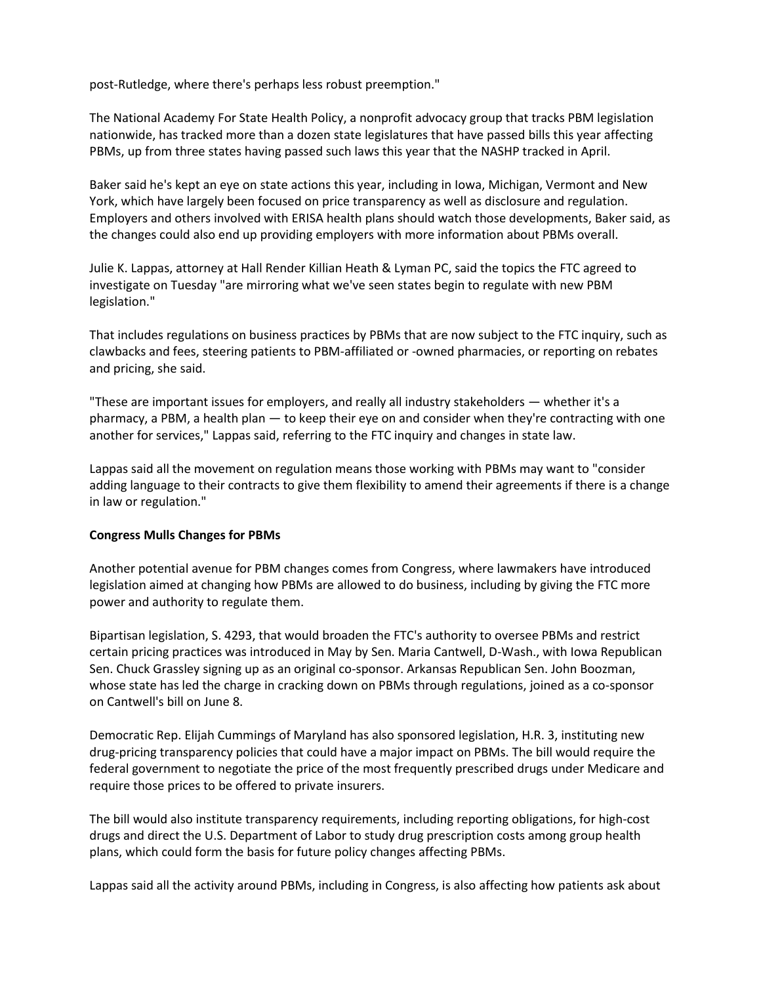post-Rutledge, where there's perhaps less robust preemption."

The National Academy For State Health Policy, a nonprofit advocacy group that tracks PBM legislation nationwide, has tracked more than a dozen state legislatures that have passed bills this year affecting PBMs, up from three states having passed such laws this year that the NASHP tracked in April.

Baker said he's kept an eye on state actions this year, including in Iowa, Michigan, Vermont and New York, which have largely been focused on price transparency as well as disclosure and regulation. Employers and others involved with ERISA health plans should watch those developments, Baker said, as the changes could also end up providing employers with more information about PBMs overall.

Julie K. Lappas, attorney at Hall Render Killian Heath & Lyman PC, said the topics the FTC agreed to investigate on Tuesday "are mirroring what we've seen states begin to regulate with new PBM legislation."

That includes regulations on business practices by PBMs that are now subject to the FTC inquiry, such as clawbacks and fees, steering patients to PBM-affiliated or -owned pharmacies, or reporting on rebates and pricing, she said.

"These are important issues for employers, and really all industry stakeholders — whether it's a pharmacy, a PBM, a health plan — to keep their eye on and consider when they're contracting with one another for services," Lappas said, referring to the FTC inquiry and changes in state law.

Lappas said all the movement on regulation means those working with PBMs may want to "consider adding language to their contracts to give them flexibility to amend their agreements if there is a change in law or regulation."

## **Congress Mulls Changes for PBMs**

Another potential avenue for PBM changes comes from Congress, where lawmakers have introduced legislation aimed at changing how PBMs are allowed to do business, including by giving the FTC more power and authority to regulate them.

Bipartisan legislation, S. 4293, that would broaden the FTC's authority to oversee PBMs and restrict certain pricing practices was introduced in May by Sen. Maria Cantwell, D-Wash., with Iowa Republican Sen. Chuck Grassley signing up as an original co-sponsor. Arkansas Republican Sen. John Boozman, whose state has led the charge in cracking down on PBMs through regulations, joined as a co-sponsor on Cantwell's bill on June 8.

Democratic Rep. Elijah Cummings of Maryland has also sponsored legislation, H.R. 3, instituting new drug-pricing transparency policies that could have a major impact on PBMs. The bill would require the federal government to negotiate the price of the most frequently prescribed drugs under Medicare and require those prices to be offered to private insurers.

The bill would also institute transparency requirements, including reporting obligations, for high-cost drugs and direct the U.S. Department of Labor to study drug prescription costs among group health plans, which could form the basis for future policy changes affecting PBMs.

Lappas said all the activity around PBMs, including in Congress, is also affecting how patients ask about